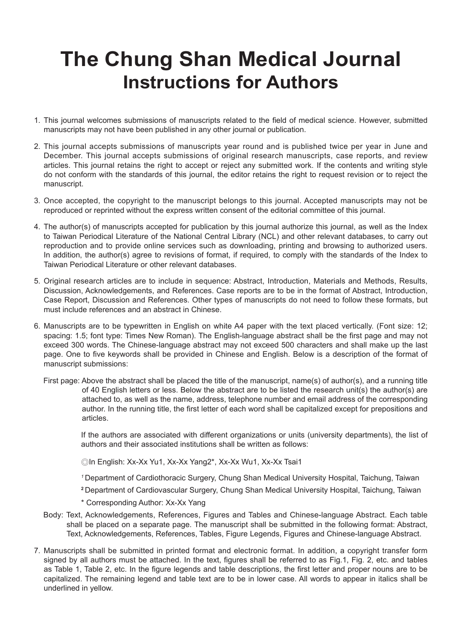## **The Chung Shan Medical Journal Instructions for Authors**

- 1. This journal welcomes submissions of manuscripts related to the field of medical science. However, submitted manuscripts may not have been published in any other journal or publication.
- 2. This journal accepts submissions of manuscripts year round and is published twice per year in June and December. This journal accepts submissions of original research manuscripts, case reports, and review articles. This journal retains the right to accept or reject any submitted work. If the contents and writing style do not conform with the standards of this journal, the editor retains the right to request revision or to reject the manuscript.
- 3. Once accepted, the copyright to the manuscript belongs to this journal. Accepted manuscripts may not be reproduced or reprinted without the express written consent of the editorial committee of this journal.
- 4. The author(s) of manuscripts accepted for publication by this journal authorize this journal, as well as the Index to Taiwan Periodical Literature of the National Central Library (NCL) and other relevant databases, to carry out reproduction and to provide online services such as downloading, printing and browsing to authorized users. In addition, the author(s) agree to revisions of format, if required, to comply with the standards of the Index to Taiwan Periodical Literature or other relevant databases.
- 5. Original research articles are to include in sequence: Abstract, Introduction, Materials and Methods, Results, Discussion, Acknowledgements, and References. Case reports are to be in the format of Abstract, Introduction, Case Report, Discussion and References. Other types of manuscripts do not need to follow these formats, but must include references and an abstract in Chinese.
- 6. Manuscripts are to be typewritten in English on white A4 paper with the text placed vertically. (Font size: 12; spacing: 1.5; font type: Times New Roman). The English-language abstract shall be the first page and may not exceed 300 words. The Chinese-language abstract may not exceed 500 characters and shall make up the last page. One to five keywords shall be provided in Chinese and English. Below is a description of the format of manuscript submissions:
	- First page: Above the abstract shall be placed the title of the manuscript, name(s) of author(s), and a running title of 40 English letters or less. Below the abstract are to be listed the research unit(s) the author(s) are attached to, as well as the name, address, telephone number and email address of the corresponding author. In the running title, the first letter of each word shall be capitalized except for prepositions and articles.

If the authors are associated with different organizations or units (university departments), the list of authors and their associated institutions shall be written as follows:

- ◎In English: Xx-Xx Yu1, Xx-Xx Yang2\*, Xx-Xx Wu1, Xx-Xx Tsai1
- *<sup>1</sup>*Department of Cardiothoracic Surgery, Chung Shan Medical University Hospital, Taichung, Taiwan
- **<sup>2</sup>**Department of Cardiovascular Surgery, Chung Shan Medical University Hospital, Taichung, Taiwan
- \* Corresponding Author: Xx-Xx Yang
- Body: Text, Acknowledgements, References, Figures and Tables and Chinese-language Abstract. Each table shall be placed on a separate page. The manuscript shall be submitted in the following format: Abstract, Text, Acknowledgements, References, Tables, Figure Legends, Figures and Chinese-language Abstract.
- 7. Manuscripts shall be submitted in printed format and electronic format. In addition, a copyright transfer form signed by all authors must be attached. In the text, figures shall be referred to as Fig.1, Fig. 2, etc. and tables as Table 1, Table 2, etc. In the figure legends and table descriptions, the first letter and proper nouns are to be capitalized. The remaining legend and table text are to be in lower case. All words to appear in italics shall be underlined in yellow.